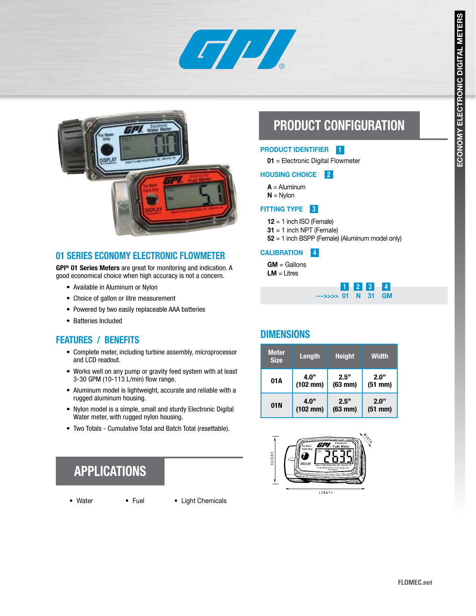



### 01 SERIES ECONOMY ELECTRONIC FLOWMETER

GPI<sup>®</sup> 01 Series Meters are great for monitoring and indication. A good economical choice when high accuracy is not a concern.

- Available in Aluminum or Nylon
- Choice of gallon or litre measurement
- Powered by two easily replaceable AAA batteries
- Batteries Included

## FEATURES / BENEFITS

- Complete meter, including turbine assembly, microprocessor and LCD readout.
- Works well on any pump or gravity feed system with at least 3-30 GPM (10-113 L/min) flow range.
- Aluminum model is lightweight, accurate and reliable with a rugged aluminum housing.
- Nylon model is a simple, small and sturdy Electronic Digital Water meter, with rugged nylon housing.
- Two Totals Cumulative Total and Batch Total (resettable).

# APPLICATIONS

- 
- Water Fuel Light Chemicals

# PRODUCT CONFIGURATION

#### PRODUCT IDENTIFIER 1

01 = Electronic Digital Flowmeter

#### HOUSING CHOICE 2

 $A =$  Aluminum

 $N = N$ ylon

#### FITTING TYPE **8**

 $12 = 1$  inch ISO (Female)

 $31 = 1$  inch NPT (Female)

52 = 1 inch BSPP (Female) (Aluminum model only)

#### **CALIBRATION** 4

 $GM =$  Gallons  $LM = Litres$ 

|                    |  | $1 2 3 4$ |
|--------------------|--|-----------|
| --->>>> 01 N 31 GM |  |           |

## **DIMENSIONS**

| <b>Meter</b><br><b>Size</b> | Length               | <b>Height</b> | <b>Width</b> |
|-----------------------------|----------------------|---------------|--------------|
| 01A                         | 4.0"                 | 2.5"          | 2.0"         |
|                             | $(102 \, \text{mm})$ | $(63$ mm $)$  | $(51$ mm $)$ |
| 01N                         | 4.0"                 | 2.5"          | 2.0"         |
|                             | $(102$ mm)           | $(63$ mm $)$  | $(51$ mm $)$ |